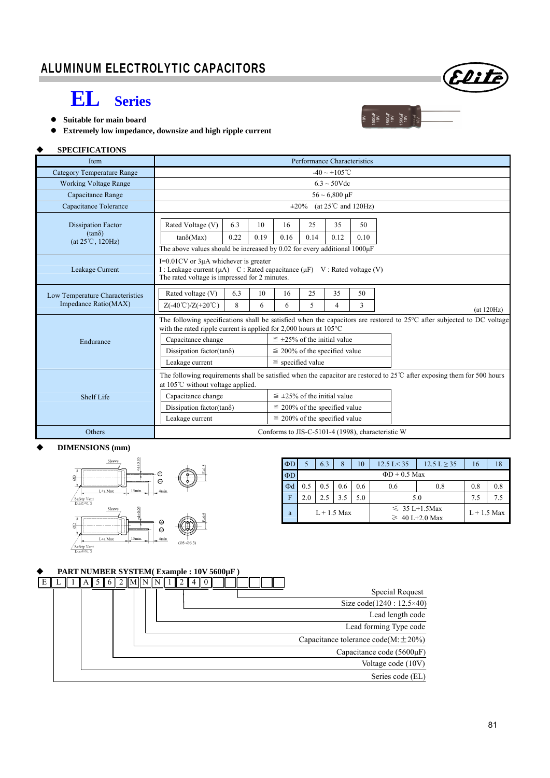## **EL Series**

- **Suitable for main board**
- **Extremely low impedance, downsize and high ripple current**

### **SPECIFICATIONS**

| Item                                       | Performance Characteristics                                                                                                                                                                                     |                                                |            |  |  |  |  |  |  |  |
|--------------------------------------------|-----------------------------------------------------------------------------------------------------------------------------------------------------------------------------------------------------------------|------------------------------------------------|------------|--|--|--|--|--|--|--|
| <b>Category Temperature Range</b>          | $-40 \sim +105$ °C                                                                                                                                                                                              |                                                |            |  |  |  |  |  |  |  |
| <b>Working Voltage Range</b>               | $6.3 \sim 50$ Vdc                                                                                                                                                                                               |                                                |            |  |  |  |  |  |  |  |
| Capacitance Range                          | $56 \sim 6,800 \,\mu F$                                                                                                                                                                                         |                                                |            |  |  |  |  |  |  |  |
| Capacitance Tolerance                      |                                                                                                                                                                                                                 | (at $25^{\circ}$ C and $120$ Hz)<br>$\pm 20\%$ |            |  |  |  |  |  |  |  |
| <b>Dissipation Factor</b>                  | Rated Voltage (V)<br>6.3<br>10                                                                                                                                                                                  | 25<br>35<br>50<br>16                           |            |  |  |  |  |  |  |  |
| $(tan\delta)$<br>$(at 25^{\circ}C, 120Hz)$ | 0.22<br>0.19<br>$tan\delta(Max)$                                                                                                                                                                                | 0.14<br>0.12<br>0.16<br>0.10                   |            |  |  |  |  |  |  |  |
|                                            | The above values should be increased by 0.02 for every additional 1000µF                                                                                                                                        |                                                |            |  |  |  |  |  |  |  |
| Leakage Current                            | $I=0.01$ CV or $3\mu A$ whichever is greater<br>I : Leakage current ( $\mu$ A) C : Rated capacitance ( $\mu$ F) V : Rated voltage (V)<br>The rated voltage is impressed for 2 minutes.                          |                                                |            |  |  |  |  |  |  |  |
| Low Temperature Characteristics            | Rated voltage (V)<br>6.3<br>10                                                                                                                                                                                  | 35<br>50<br>16<br>25                           |            |  |  |  |  |  |  |  |
| Impedance Ratio(MAX)                       | $Z(-40^{\circ}\text{C})/Z(+20^{\circ}\text{C})$<br>8<br>6                                                                                                                                                       | 5<br>3<br>6<br>4                               | (at 120Hz) |  |  |  |  |  |  |  |
|                                            | The following specifications shall be satisfied when the capacitors are restored to $25^{\circ}$ C after subjected to DC voltage<br>with the rated ripple current is applied for 2,000 hours at $105^{\circ}$ C |                                                |            |  |  |  |  |  |  |  |
| Endurance                                  | Capacitance change                                                                                                                                                                                              | $\leq$ ±25% of the initial value               |            |  |  |  |  |  |  |  |
|                                            | Dissipation factor(tand)                                                                                                                                                                                        | $\leq$ 200% of the specified value             |            |  |  |  |  |  |  |  |
|                                            | Leakage current                                                                                                                                                                                                 | $\le$ specified value                          |            |  |  |  |  |  |  |  |
|                                            | The following requirements shall be satisfied when the capacitor are restored to $25^{\circ}$ C after exposing them for 500 hours<br>at 105℃ without voltage applied.                                           |                                                |            |  |  |  |  |  |  |  |
| Shelf Life                                 | Capacitance change                                                                                                                                                                                              | $\leq$ ±25% of the initial value               |            |  |  |  |  |  |  |  |
|                                            | Dissipation factor(tan $\delta$ )                                                                                                                                                                               | $\leq$ 200% of the specified value             |            |  |  |  |  |  |  |  |
|                                            | Leakage current                                                                                                                                                                                                 | $\leq$ 200% of the specified value             |            |  |  |  |  |  |  |  |
| Others                                     | Conforms to JIS-C-5101-4 (1998), characteristic W                                                                                                                                                               |                                                |            |  |  |  |  |  |  |  |

#### **DIMENSIONS (mm)**



| $\Phi$ D |                    | 6.3 | 8   | 10  | $12.5 \text{ L} < 35$<br>$12.5 \text{ L} \geq 35$ |               | 16  | 18  |  |
|----------|--------------------|-----|-----|-----|---------------------------------------------------|---------------|-----|-----|--|
| $\Phi$ D | $\Phi$ D + 0.5 Max |     |     |     |                                                   |               |     |     |  |
| $\Phi$ d | 0.5                | 0.5 | 0.6 | 0.6 | 0.8<br>0.6                                        |               | 0.8 | 0.8 |  |
| F        | 2.0                | 2.5 | 3.5 | 5.0 | 5.0                                               | 7.5           | 7.5 |     |  |
| a        | $L + 1.5$ Max      |     |     |     | $\leq 35$ L+1.5Max                                | $L + 1.5$ Max |     |     |  |
|          |                    |     |     |     | $\geq 40$ L+2.0 Max                               |               |     |     |  |

1500**uF**<br>100V<br>1500uF<br>100V<br>100VE<br>100VE

### **PART NUMBER SYSTEM( Example : 10V 5600µF )**



Elite